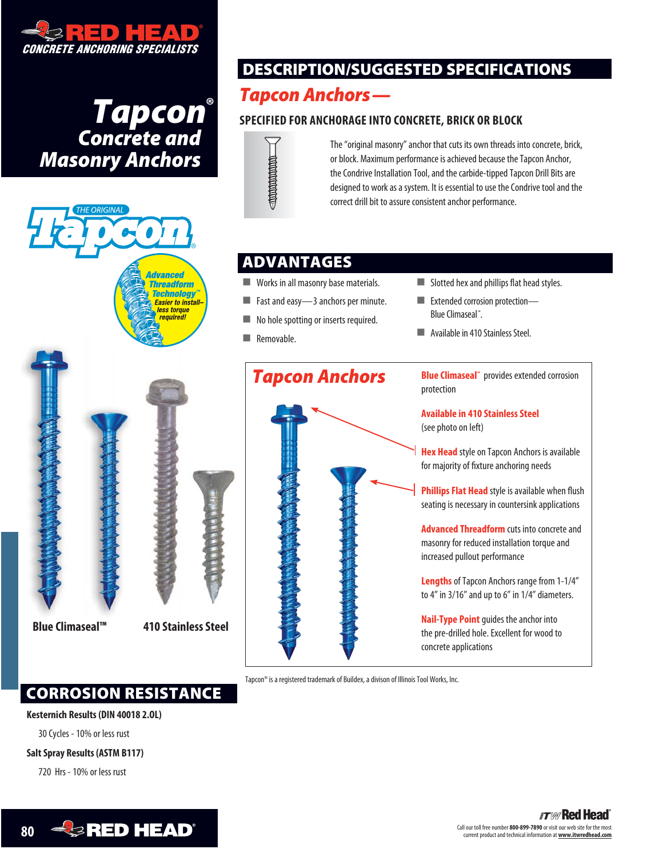

**Tapcon<sup>®</sup>**<br> **Concrete and** *Masonry Anchors*



# **DESCRIPTION/SUGGESTED SPECIFICATIONS**

# *Tapcon Anchors—*

## **SPECIFIED FOR ANCHORAGE INTO CONCRETE, BRICK OR BLOCK**



The "original masonry" anchor that cuts its own threads into concrete, brick, or block. Maximum performance is achieved because the Tapcon Anchor, the Condrive Installation Tool, and the carbide-tipped Tapcon Drill Bits are designed to work as a system. It is essential to use the Condrive tool and the correct drill bit to assure consistent anchor performance.

## **ADVANTAGES**

- **Works in all masonry base materials.**
- Fast and easy-3 anchors per minute.
- No hole spotting or inserts required.
- **Removable.**
- $\blacksquare$  Slotted hex and phillips flat head styles.
- **Extended corrosion protection—** Blue Climaseal™. .
- Available in 410 Stainless Steel.



Tapcon® is a registered trademark of Buildex, a divison of Illinois Tool Works, Inc.

## **CORROSION RESISTANCE**

#### **Kesternich Results (DIN 40018 2.OL)**

30 Cycles - 10% or less rust

### **Salt Spray Results (ASTM B117)**

720 Hrs - 10% or less rust